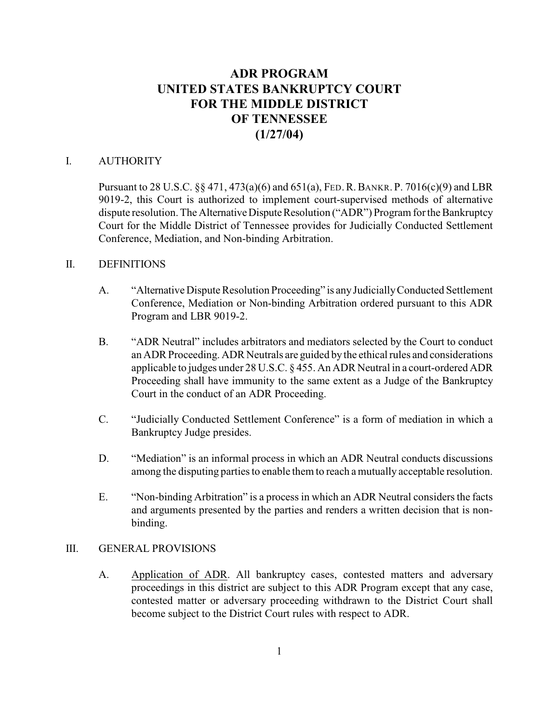# **ADR PROGRAM UNITED STATES BANKRUPTCY COURT FOR THE MIDDLE DISTRICT OF TENNESSEE (1/27/04)**

#### I. AUTHORITY

Pursuant to 28 U.S.C. §§ 471, 473(a)(6) and 651(a), FED.R.BANKR. P. 7016(c)(9) and LBR 9019-2, this Court is authorized to implement court-supervised methods of alternative dispute resolution. The Alternative Dispute Resolution ("ADR") Program for the Bankruptcy Court for the Middle District of Tennessee provides for Judicially Conducted Settlement Conference, Mediation, and Non-binding Arbitration.

#### II. DEFINITIONS

- A. "Alternative Dispute Resolution Proceeding" is any Judicially Conducted Settlement Conference, Mediation or Non-binding Arbitration ordered pursuant to this ADR Program and LBR 9019-2.
- B. "ADR Neutral" includes arbitrators and mediators selected by the Court to conduct an ADR Proceeding. ADR Neutrals are guided by the ethical rules and considerations applicable to judges under 28 U.S.C. § 455. An ADR Neutral in a court-ordered ADR Proceeding shall have immunity to the same extent as a Judge of the Bankruptcy Court in the conduct of an ADR Proceeding.
- C. "Judicially Conducted Settlement Conference" is a form of mediation in which a Bankruptcy Judge presides.
- D. "Mediation" is an informal process in which an ADR Neutral conducts discussions among the disputing parties to enable them to reach a mutually acceptable resolution.
- E. "Non-binding Arbitration" is a process in which an ADR Neutral considers the facts and arguments presented by the parties and renders a written decision that is nonbinding.

#### III. GENERAL PROVISIONS

A. Application of ADR. All bankruptcy cases, contested matters and adversary proceedings in this district are subject to this ADR Program except that any case, contested matter or adversary proceeding withdrawn to the District Court shall become subject to the District Court rules with respect to ADR.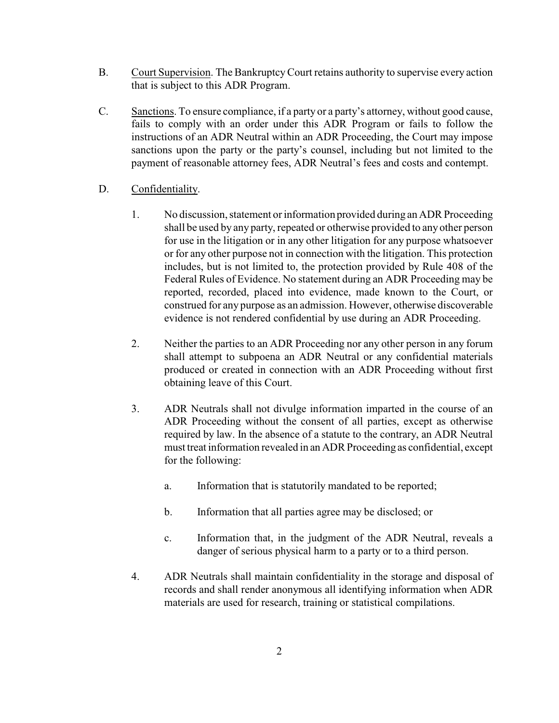- B. Court Supervision. The BankruptcyCourt retains authority to supervise every action that is subject to this ADR Program.
- C. Sanctions. To ensure compliance, if a party or a party's attorney, without good cause, fails to comply with an order under this ADR Program or fails to follow the instructions of an ADR Neutral within an ADR Proceeding, the Court may impose sanctions upon the party or the party's counsel, including but not limited to the payment of reasonable attorney fees, ADR Neutral's fees and costs and contempt.
- D. Confidentiality.
	- 1. No discussion, statement or information provided during an ADR Proceeding shall be used by any party, repeated or otherwise provided to any other person for use in the litigation or in any other litigation for any purpose whatsoever or for any other purpose not in connection with the litigation. This protection includes, but is not limited to, the protection provided by Rule 408 of the Federal Rules of Evidence. No statement during an ADR Proceeding may be reported, recorded, placed into evidence, made known to the Court, or construed for any purpose as an admission. However, otherwise discoverable evidence is not rendered confidential by use during an ADR Proceeding.
	- 2. Neither the parties to an ADR Proceeding nor any other person in any forum shall attempt to subpoena an ADR Neutral or any confidential materials produced or created in connection with an ADR Proceeding without first obtaining leave of this Court.
	- 3. ADR Neutrals shall not divulge information imparted in the course of an ADR Proceeding without the consent of all parties, except as otherwise required by law. In the absence of a statute to the contrary, an ADR Neutral must treat information revealed in an ADR Proceeding as confidential, except for the following:
		- a. Information that is statutorily mandated to be reported;
		- b. Information that all parties agree may be disclosed; or
		- c. Information that, in the judgment of the ADR Neutral, reveals a danger of serious physical harm to a party or to a third person.
	- 4. ADR Neutrals shall maintain confidentiality in the storage and disposal of records and shall render anonymous all identifying information when ADR materials are used for research, training or statistical compilations.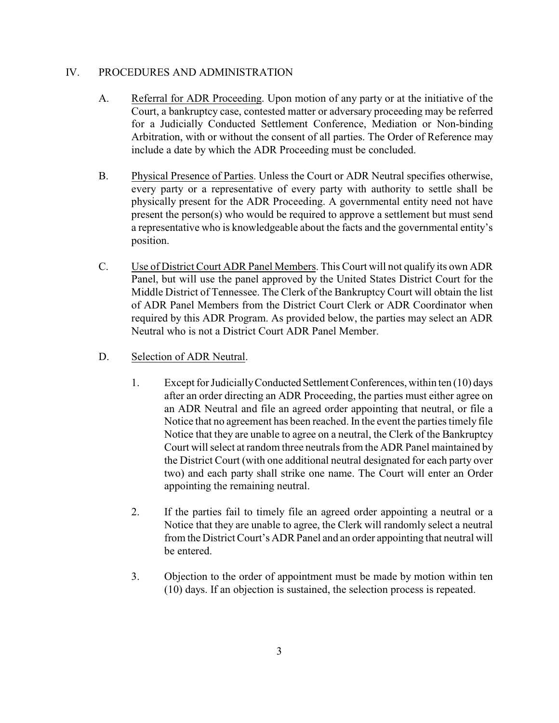#### IV. PROCEDURES AND ADMINISTRATION

- A. Referral for ADR Proceeding. Upon motion of any party or at the initiative of the Court, a bankruptcy case, contested matter or adversary proceeding may be referred for a Judicially Conducted Settlement Conference, Mediation or Non-binding Arbitration, with or without the consent of all parties. The Order of Reference may include a date by which the ADR Proceeding must be concluded.
- B. Physical Presence of Parties. Unless the Court or ADR Neutral specifies otherwise, every party or a representative of every party with authority to settle shall be physically present for the ADR Proceeding. A governmental entity need not have present the person(s) who would be required to approve a settlement but must send a representative who is knowledgeable about the facts and the governmental entity's position.
- C. Use of District Court ADR Panel Members. This Court will not qualify its own ADR Panel, but will use the panel approved by the United States District Court for the Middle District of Tennessee. The Clerk of the Bankruptcy Court will obtain the list of ADR Panel Members from the District Court Clerk or ADR Coordinator when required by this ADR Program. As provided below, the parties may select an ADR Neutral who is not a District Court ADR Panel Member.
- D. Selection of ADR Neutral.
	- 1. Except for Judicially Conducted Settlement Conferences, within ten (10) days after an order directing an ADR Proceeding, the parties must either agree on an ADR Neutral and file an agreed order appointing that neutral, or file a Notice that no agreement has been reached. In the event the parties timely file Notice that they are unable to agree on a neutral, the Clerk of the Bankruptcy Court will select at random three neutrals from the ADR Panel maintained by the District Court (with one additional neutral designated for each party over two) and each party shall strike one name. The Court will enter an Order appointing the remaining neutral.
	- 2. If the parties fail to timely file an agreed order appointing a neutral or a Notice that they are unable to agree, the Clerk will randomly select a neutral from the District Court's ADR Panel and an order appointing that neutral will be entered.
	- 3. Objection to the order of appointment must be made by motion within ten (10) days. If an objection is sustained, the selection process is repeated.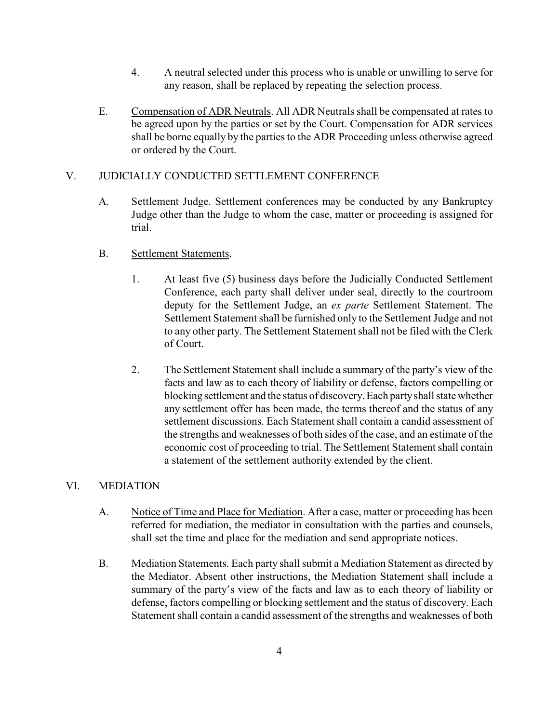- 4. A neutral selected under this process who is unable or unwilling to serve for any reason, shall be replaced by repeating the selection process.
- E. Compensation of ADR Neutrals. All ADR Neutrals shall be compensated at rates to be agreed upon by the parties or set by the Court. Compensation for ADR services shall be borne equally by the parties to the ADR Proceeding unless otherwise agreed or ordered by the Court.

## V. JUDICIALLY CONDUCTED SETTLEMENT CONFERENCE

A. Settlement Judge. Settlement conferences may be conducted by any Bankruptcy Judge other than the Judge to whom the case, matter or proceeding is assigned for trial.

### B. Settlement Statements.

- 1. At least five (5) business days before the Judicially Conducted Settlement Conference, each party shall deliver under seal, directly to the courtroom deputy for the Settlement Judge, an *ex parte* Settlement Statement. The Settlement Statement shall be furnished only to the Settlement Judge and not to any other party. The Settlement Statement shall not be filed with the Clerk of Court.
- 2. The Settlement Statement shall include a summary of the party's view of the facts and law as to each theory of liability or defense, factors compelling or blocking settlement and the status of discovery. Each party shall state whether any settlement offer has been made, the terms thereof and the status of any settlement discussions. Each Statement shall contain a candid assessment of the strengths and weaknesses of both sides of the case, and an estimate of the economic cost of proceeding to trial. The Settlement Statement shall contain a statement of the settlement authority extended by the client.

#### VI. MEDIATION

- A. Notice of Time and Place for Mediation. After a case, matter or proceeding has been referred for mediation, the mediator in consultation with the parties and counsels, shall set the time and place for the mediation and send appropriate notices.
- B. Mediation Statements. Each party shall submit a Mediation Statement as directed by the Mediator. Absent other instructions, the Mediation Statement shall include a summary of the party's view of the facts and law as to each theory of liability or defense, factors compelling or blocking settlement and the status of discovery. Each Statement shall contain a candid assessment of the strengths and weaknesses of both